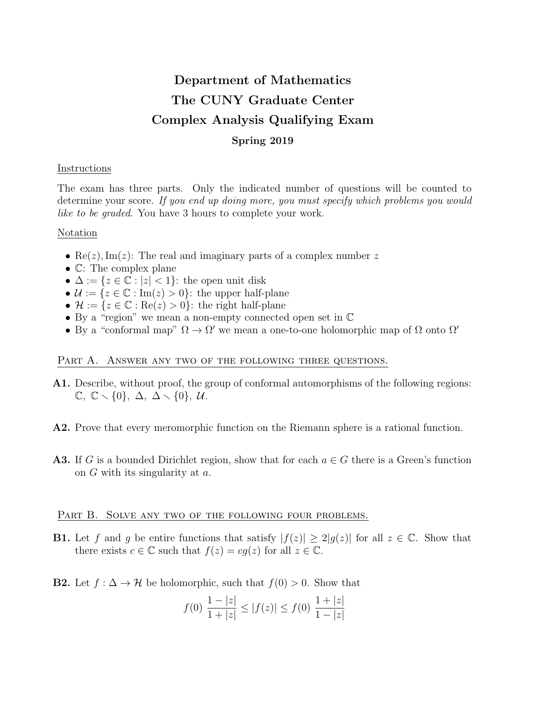# Department of Mathematics The CUNY Graduate Center Complex Analysis Qualifying Exam Spring 2019

## Instructions

The exam has three parts. Only the indicated number of questions will be counted to determine your score. If you end up doing more, you must specify which problems you would like to be graded. You have 3 hours to complete your work.

## Notation

- Re(*z*), Im(*z*): The real and imaginary parts of a complex number z
- C: The complex plane
- $\Delta := \{z \in \mathbb{C} : |z| < 1\}$ : the open unit disk
- $\mathcal{U} := \{z \in \mathbb{C} : \text{Im}(z) > 0\}$ : the upper half-plane
- $\mathcal{H} := \{z \in \mathbb{C} : \text{Re}(z) > 0\}$ : the right half-plane
- By a "region" we mean a non-empty connected open set in C
- By a "conformal map"  $\Omega \to \Omega'$  we mean a one-to-one holomorphic map of  $\Omega$  onto  $\Omega'$

# PART A. ANSWER ANY TWO OF THE FOLLOWING THREE QUESTIONS.

- A1. Describe, without proof, the group of conformal automorphisms of the following regions:  $\mathbb{C}, \mathbb{C} \setminus \{0\}, \Delta, \Delta \setminus \{0\}, \mathcal{U}.$
- A2. Prove that every meromorphic function on the Riemann sphere is a rational function.
- **A3.** If G is a bounded Dirichlet region, show that for each  $a \in G$  there is a Green's function on G with its singularity at a.

#### PART B. SOLVE ANY TWO OF THE FOLLOWING FOUR PROBLEMS.

**B1.** Let f and g be entire functions that satisfy  $|f(z)| \geq 2|g(z)|$  for all  $z \in \mathbb{C}$ . Show that there exists  $c \in \mathbb{C}$  such that  $f(z) = cq(z)$  for all  $z \in \mathbb{C}$ .

**B2.** Let  $f : \Delta \to \mathcal{H}$  be holomorphic, such that  $f(0) > 0$ . Show that

$$
f(0) \frac{1-|z|}{1+|z|} \le |f(z)| \le f(0) \frac{1+|z|}{1-|z|}
$$